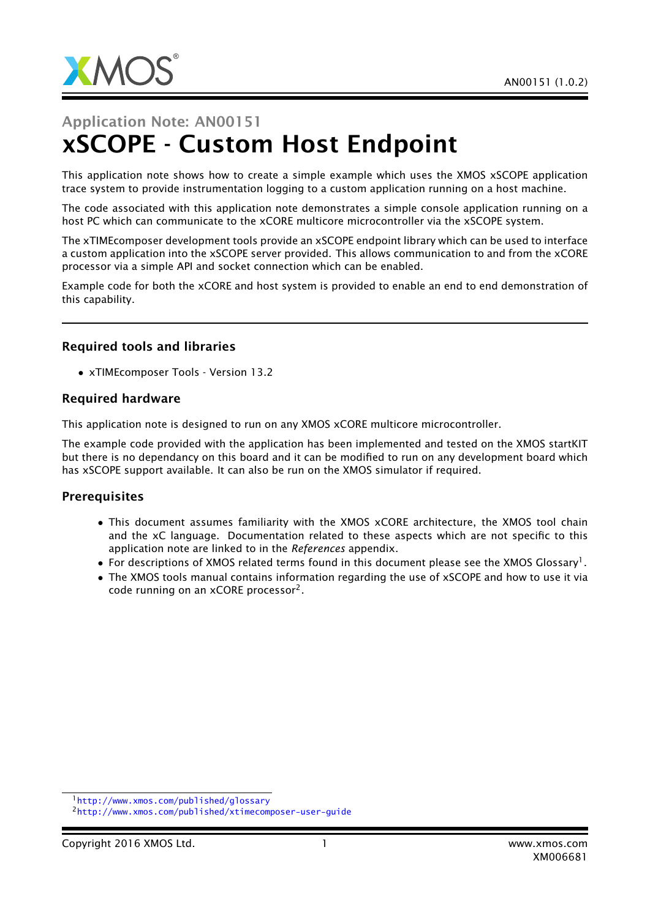

# Application Note: AN00151 xSCOPE - Custom Host Endpoint

This application note shows how to create a simple example which uses the XMOS xSCOPE application trace system to provide instrumentation logging to a custom application running on a host machine.

The code associated with this application note demonstrates a simple console application running on a host PC which can communicate to the xCORE multicore microcontroller via the xSCOPE system.

The xTIMEcomposer development tools provide an xSCOPE endpoint library which can be used to interface a custom application into the xSCOPE server provided. This allows communication to and from the xCORE processor via a simple API and socket connection which can be enabled.

Example code for both the xCORE and host system is provided to enable an end to end demonstration of this capability.

### Required tools and libraries

• xTIMEcomposer Tools - Version 13.2

#### Required hardware

This application note is designed to run on any XMOS xCORE multicore microcontroller.

The example code provided with the application has been implemented and tested on the XMOS startKIT but there is no dependancy on this board and it can be modified to run on any development board which has xSCOPE support available. It can also be run on the XMOS simulator if required.

#### **Prerequisites**

- This document assumes familiarity with the XMOS xCORE architecture, the XMOS tool chain and the xC language. Documentation related to these aspects which are not specific to this application note are linked to in the *References* appendix.
- $\bullet$  For descriptions of XMOS related terms found in this document please see the XMOS Glossary<sup>1</sup>.
- The XMOS tools manual contains information regarding the use of xSCOPE and how to use it via code running on an xCORE processor<sup>2</sup>.

<sup>1</sup><http://www.xmos.com/published/glossary>

<sup>2</sup><http://www.xmos.com/published/xtimecomposer-user-guide>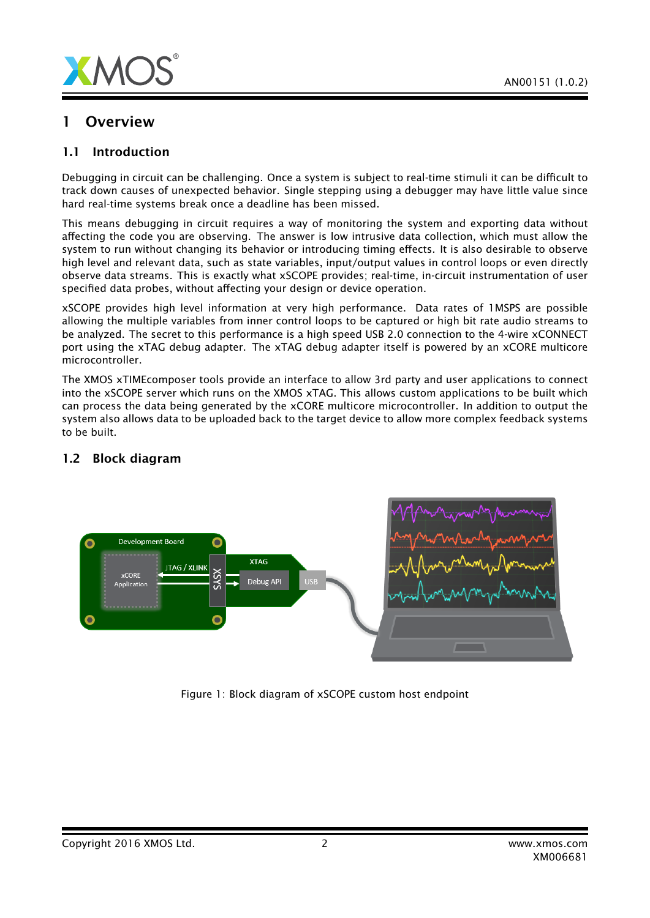



## 1 Overview

## 1.1 Introduction

Debugging in circuit can be challenging. Once a system is subject to real-time stimuli it can be difficult to track down causes of unexpected behavior. Single stepping using a debugger may have little value since hard real-time systems break once a deadline has been missed.

This means debugging in circuit requires a way of monitoring the system and exporting data without affecting the code you are observing. The answer is low intrusive data collection, which must allow the system to run without changing its behavior or introducing timing effects. It is also desirable to observe high level and relevant data, such as state variables, input/output values in control loops or even directly observe data streams. This is exactly what xSCOPE provides; real-time, in-circuit instrumentation of user specified data probes, without affecting your design or device operation.

xSCOPE provides high level information at very high performance. Data rates of 1MSPS are possible allowing the multiple variables from inner control loops to be captured or high bit rate audio streams to be analyzed. The secret to this performance is a high speed USB 2.0 connection to the 4-wire xCONNECT port using the xTAG debug adapter. The xTAG debug adapter itself is powered by an xCORE multicore microcontroller.

The XMOS xTIMEcomposer tools provide an interface to allow 3rd party and user applications to connect into the xSCOPE server which runs on the XMOS xTAG. This allows custom applications to be built which can process the data being generated by the xCORE multicore microcontroller. In addition to output the system also allows data to be uploaded back to the target device to allow more complex feedback systems to be built.



## 1.2 Block diagram

Figure 1: Block diagram of xSCOPE custom host endpoint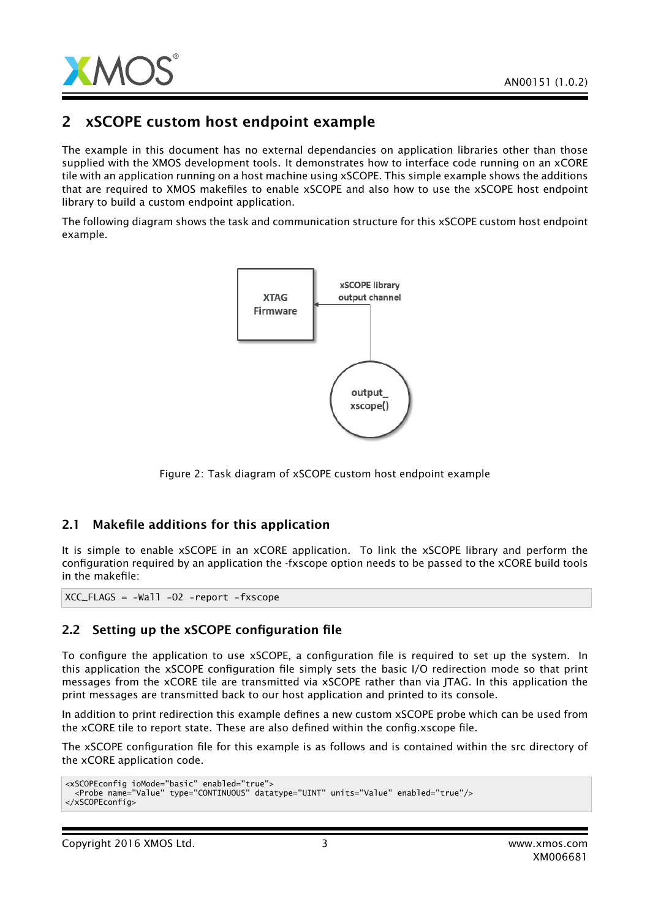

## 2 xSCOPE custom host endpoint example

The example in this document has no external dependancies on application libraries other than those supplied with the XMOS development tools. It demonstrates how to interface code running on an xCORE tile with an application running on a host machine using xSCOPE. This simple example shows the additions that are required to XMOS makefiles to enable xSCOPE and also how to use the xSCOPE host endpoint library to build a custom endpoint application.

The following diagram shows the task and communication structure for this xSCOPE custom host endpoint example.



Figure 2: Task diagram of xSCOPE custom host endpoint example

## 2.1 Makefile additions for this application

It is simple to enable xSCOPE in an xCORE application. To link the xSCOPE library and perform the configuration required by an application the -fxscope option needs to be passed to the xCORE build tools in the makefile:

 $XCC$  FLAGS =  $-Wa$ ]]  $-02$  -report -fxscope

## 2.2 Setting up the xSCOPE configuration file

To configure the application to use xSCOPE, a configuration file is required to set up the system. In this application the xSCOPE configuration file simply sets the basic I/O redirection mode so that print messages from the xCORE tile are transmitted via xSCOPE rather than via JTAG. In this application the print messages are transmitted back to our host application and printed to its console.

In addition to print redirection this example defines a new custom xSCOPE probe which can be used from the xCORE tile to report state. These are also defined within the config.xscope file.

The xSCOPE configuration file for this example is as follows and is contained within the src directory of the xCORE application code.

```
<xSCOPEconfig ioMode="basic" enabled="true">
  <Probe name="Value" type="CONTINUOUS" datatype="UINT" units="Value" enabled="true"/>
</xSCOPEconfig>
```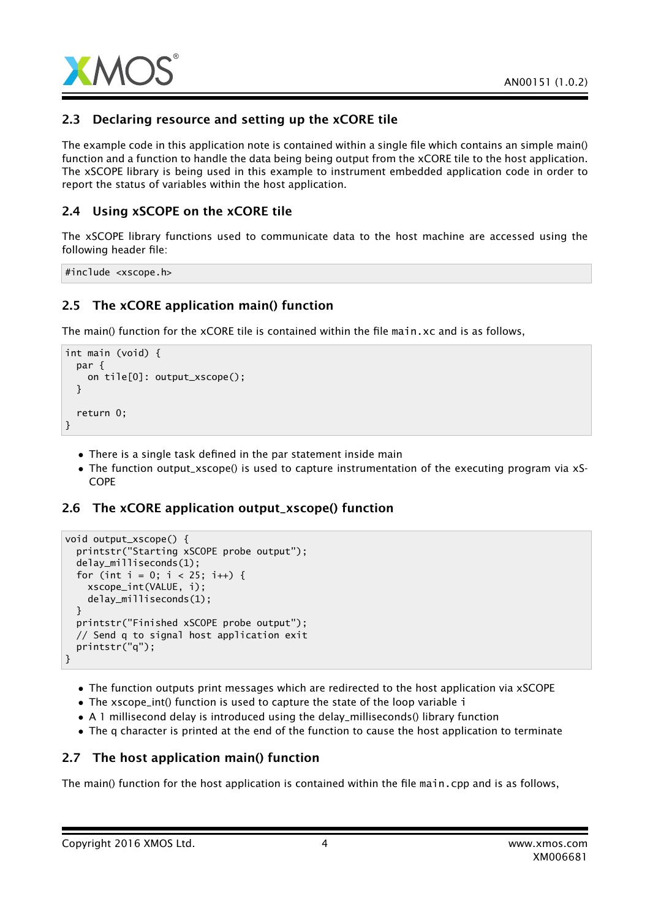

## 2.3 Declaring resource and setting up the xCORE tile

The example code in this application note is contained within a single file which contains an simple main() function and a function to handle the data being being output from the xCORE tile to the host application. The xSCOPE library is being used in this example to instrument embedded application code in order to report the status of variables within the host application.

## 2.4 Using xSCOPE on the xCORE tile

The xSCOPE library functions used to communicate data to the host machine are accessed using the following header file:

#include <xscope.h>

## 2.5 The xCORE application main() function

The main() function for the xCORE tile is contained within the file main.xc and is as follows,

```
int main (void) {
 par {
   on tile[0]: output_xscope();
 }
 return 0;
}
```
- There is a single task defined in the par statement inside main
- The function output\_xscope() is used to capture instrumentation of the executing program via xS-COPE

## 2.6 The xCORE application output\_xscope() function

```
void output_xscope() {
 printstr("Starting xSCOPE probe output");
 delay_milliseconds(1);
 for (int i = 0; i < 25; i++) {
   xscope_int(VALUE, i);
    delay_milliseconds(1);
 }
 printstr("Finished xSCOPE probe output");
 // Send q to signal host application exit
 printstr("q");
}
```
- The function outputs print messages which are redirected to the host application via xSCOPE
- The xscope\_int() function is used to capture the state of the loop variable i
- A 1 millisecond delay is introduced using the delay\_milliseconds() library function
- The q character is printed at the end of the function to cause the host application to terminate

## 2.7 The host application main() function

The main() function for the host application is contained within the file main.cpp and is as follows,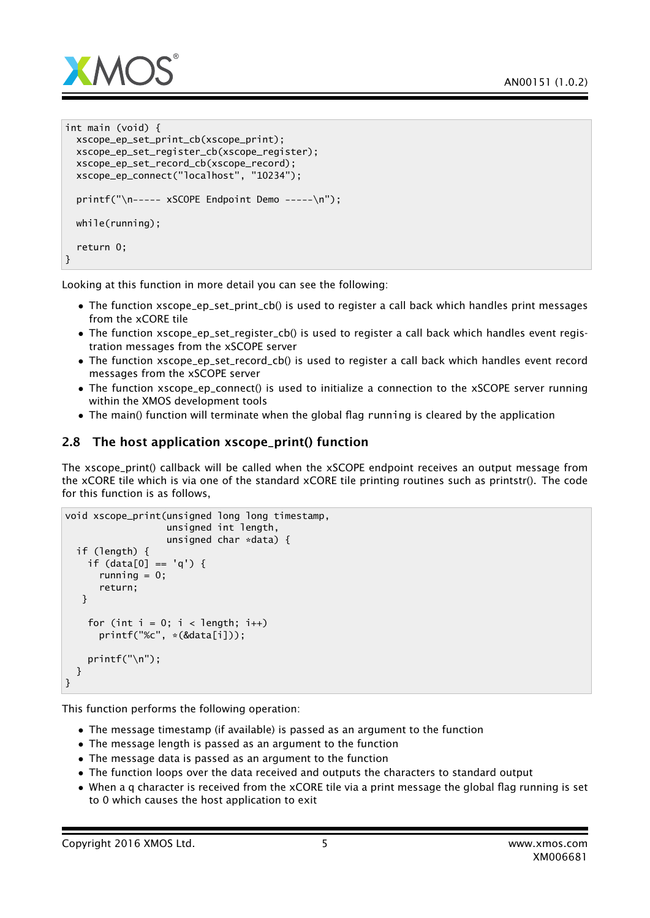

```
int main (void) {
 xscope_ep_set_print_cb(xscope_print);
 xscope_ep_set_register_cb(xscope_register);
 xscope_ep_set_record_cb(xscope_record);
 xscope_ep_connect("localhost", "10234");
 printf("\n----- xSCOPE Endpoint Demo -----\n");
 while(running);
  return 0;
}
```
Looking at this function in more detail you can see the following:

- The function xscope\_ep\_set\_print\_cb() is used to register a call back which handles print messages from the xCORE tile
- The function xscope\_ep\_set\_register\_cb() is used to register a call back which handles event registration messages from the xSCOPE server
- The function xscope\_ep\_set\_record\_cb() is used to register a call back which handles event record messages from the xSCOPE server
- The function xscope\_ep\_connect() is used to initialize a connection to the xSCOPE server running within the XMOS development tools
- The main() function will terminate when the global flag running is cleared by the application

## 2.8 The host application xscope\_print() function

The xscope\_print() callback will be called when the xSCOPE endpoint receives an output message from the xCORE tile which is via one of the standard xCORE tile printing routines such as printstr(). The code for this function is as follows,

```
void xscope_print(unsigned long long timestamp,
                  unsigned int length,
                  unsigned char *data) {
 if (length) {
    if (data[0] == 'q') {
      running = 0;
      return;
  }
    for (int i = 0; i < length; i++)printf("%c", *(&data[i]));
    printf("\n");
 }
}
```
This function performs the following operation:

- The message timestamp (if available) is passed as an argument to the function
- The message length is passed as an argument to the function
- The message data is passed as an argument to the function
- The function loops over the data received and outputs the characters to standard output
- When a q character is received from the xCORE tile via a print message the global flag running is set to 0 which causes the host application to exit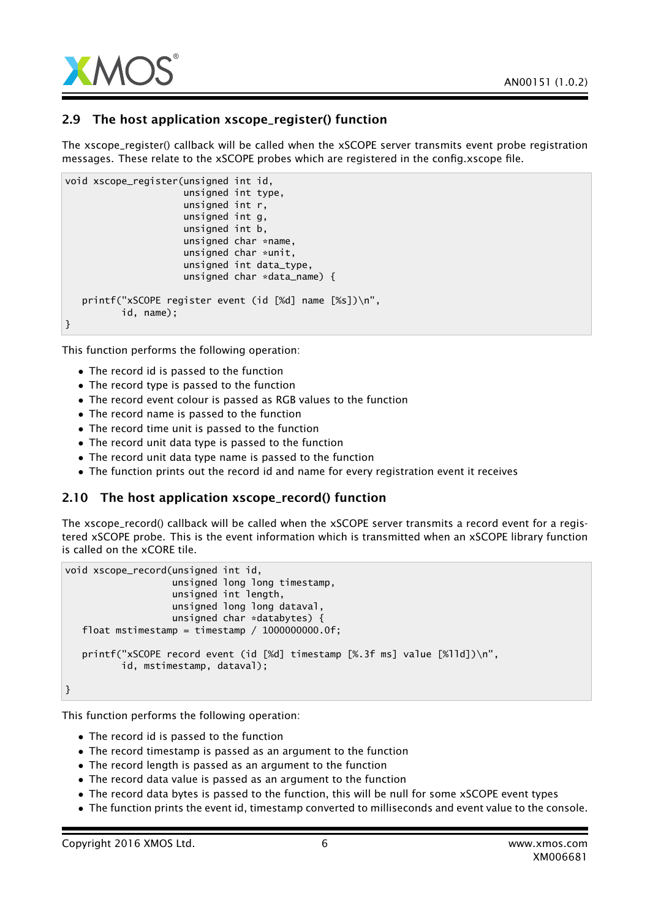

## 2.9 The host application xscope\_register() function

The xscope\_register() callback will be called when the xSCOPE server transmits event probe registration messages. These relate to the xSCOPE probes which are registered in the config.xscope file.

```
void xscope_register(unsigned int id,
                     unsigned int type,
                     unsigned int r,
                     unsigned int g,
                     unsigned int b,
                     unsigned char *name,
                     unsigned char *unit,
                     unsigned int data_type,
                     unsigned char *data_name) {
   printf("xSCOPE register event (id [%d] name [%s])\n",
          id, name);
}
```
This function performs the following operation:

- The record id is passed to the function
- The record type is passed to the function
- The record event colour is passed as RGB values to the function
- The record name is passed to the function
- The record time unit is passed to the function
- The record unit data type is passed to the function
- The record unit data type name is passed to the function
- The function prints out the record id and name for every registration event it receives

#### 2.10 The host application xscope\_record() function

The xscope\_record() callback will be called when the xSCOPE server transmits a record event for a registered xSCOPE probe. This is the event information which is transmitted when an xSCOPE library function is called on the xCORE tile.

```
void xscope_record(unsigned int id,
                   unsigned long long timestamp,
                   unsigned int length,
                   unsigned long long dataval,
                   unsigned char *databytes) {
  float mstimestamp = timestamp / 1000000000.0f;
   printf("xSCOPE record event (id [%d] timestamp [%.3f ms] value [%lld])\n",
          id, mstimestamp, dataval);
```
}

This function performs the following operation:

- The record id is passed to the function
- The record timestamp is passed as an argument to the function
- The record length is passed as an argument to the function
- The record data value is passed as an argument to the function
- The record data bytes is passed to the function, this will be null for some xSCOPE event types
- The function prints the event id, timestamp converted to milliseconds and event value to the console.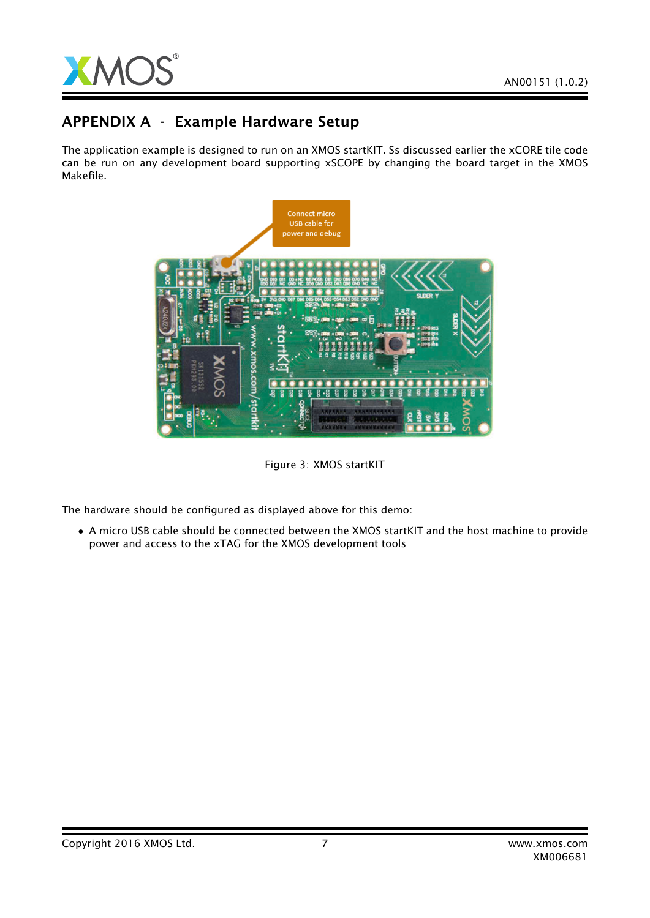

## APPENDIX A - Example Hardware Setup

The application example is designed to run on an XMOS startKIT. Ss discussed earlier the xCORE tile code can be run on any development board supporting xSCOPE by changing the board target in the XMOS Makefile.



Figure 3: XMOS startKIT

The hardware should be configured as displayed above for this demo:

• A micro USB cable should be connected between the XMOS startKIT and the host machine to provide power and access to the xTAG for the XMOS development tools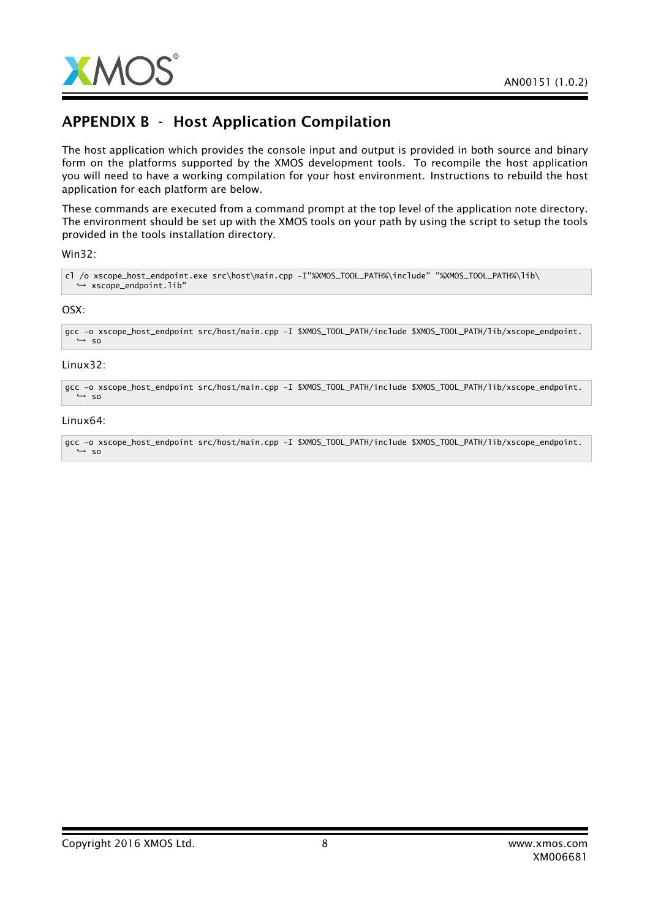

## APPENDIX B - Host Application Compilation

The host application which provides the console input and output is provided in both source and binary form on the platforms supported by the XMOS development tools. To recompile the host application you will need to have a working compilation for your host environment. Instructions to rebuild the host application for each platform are below.

These commands are executed from a command prompt at the top level of the application note directory. The environment should be set up with the XMOS tools on your path by using the script to setup the tools provided in the tools installation directory.

#### Win32:

cl /o xscope\_host\_endpoint.exe src\host\main.cpp -I"%XMOS\_TOOL\_PATH%\include" "%XMOS\_TOOL\_PATH%\lib\ → xscope\_endpoint.lib"

#### OSX:

```
gcc -o xscope_host_endpoint src/host/main.cpp -I $XMOS_TOOL_PATH/include $XMOS_TOOL_PATH/lib/xscope_endpoint.
,→ so
```
#### Linux32:

gcc -o xscope\_host\_endpoint src/host/main.cpp -I \$XMOS\_TOOL\_PATH/include \$XMOS\_TOOL\_PATH/lib/xscope\_endpoint.  $\leftrightarrow$  so

#### Linux64:

gcc -o xscope\_host\_endpoint src/host/main.cpp -I \$XMOS\_TOOL\_PATH/include \$XMOS\_TOOL\_PATH/lib/xscope\_endpoint. *,*→ so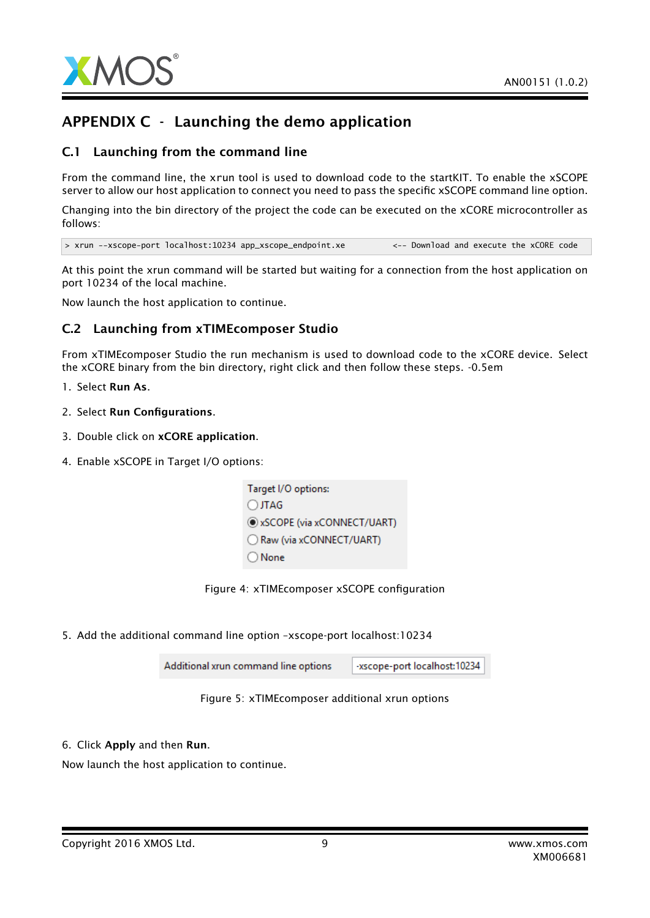

## APPENDIX C - Launching the demo application

## C.1 Launching from the command line

From the command line, the xrun tool is used to download code to the startKIT. To enable the xSCOPE server to allow our host application to connect you need to pass the specific xSCOPE command line option.

Changing into the bin directory of the project the code can be executed on the xCORE microcontroller as follows:

> xrun --xscope-port localhost:10234 app\_xscope\_endpoint.xe <-- Download and execute the xCORE code

At this point the xrun command will be started but waiting for a connection from the host application on port 10234 of the local machine.

Now launch the host application to continue.

## C.2 Launching from xTIMEcomposer Studio

From xTIMEcomposer Studio the run mechanism is used to download code to the xCORE device. Select the xCORE binary from the bin directory, right click and then follow these steps. -0.5em

- 1. Select Run As.
- 2. Select Run Configurations.
- 3. Double click on xCORE application.
- 4. Enable xSCOPE in Target I/O options:



5. Add the additional command line option –xscope-port localhost:10234

-xscope-port localhost:10234 Additional xrun command line options



6. Click Apply and then Run.

Now launch the host application to continue.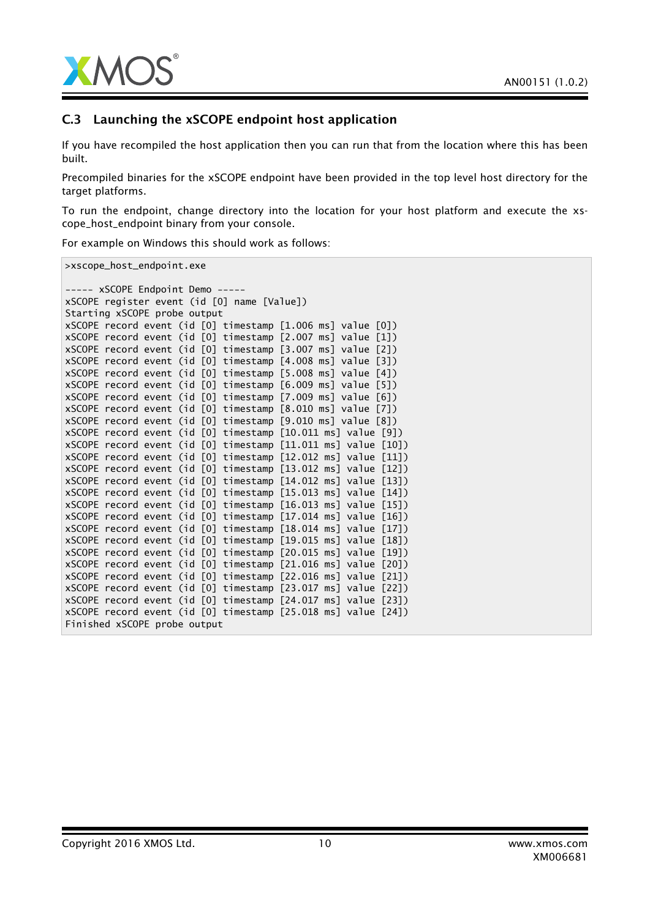

## C.3 Launching the xSCOPE endpoint host application

If you have recompiled the host application then you can run that from the location where this has been built.

Precompiled binaries for the xSCOPE endpoint have been provided in the top level host directory for the target platforms.

To run the endpoint, change directory into the location for your host platform and execute the xscope\_host\_endpoint binary from your console.

For example on Windows this should work as follows:

>xscope\_host\_endpoint.exe

```
----- xSCOPE Endpoint Demo -----
xSCOPE register event (id [0] name [Value])
Starting xSCOPE probe output
xSCOPE record event (id [0] timestamp [1.006 ms] value [0])
xSCOPE record event (id [0] timestamp [2.007 ms] value [1])
xSCOPE record event (id [0] timestamp [3.007 ms] value [2])
xSCOPE record event (id [0] timestamp [4.008 ms] value [3])
xSCOPE record event (id [0] timestamp [5.008 ms] value [4])
xSCOPE record event (id [0] timestamp [6.009 ms] value [5])
xSCOPE record event (id [0] timestamp [7.009 ms] value [6])
xSCOPE record event (id [0] timestamp [8.010 ms] value [7])
xSCOPE record event (id [0] timestamp [9.010 ms] value [8])
xSCOPE record event (id [0] timestamp [10.011 ms] value [9])
xSCOPE record event (id [0] timestamp [11.011 ms] value [10])
xSCOPE record event (id [0] timestamp [12.012 ms] value [11])
xSCOPE record event (id [0] timestamp [13.012 ms] value [12])
xSCOPE record event (id [0] timestamp [14.012 ms] value [13])
xSCOPE record event (id [0] timestamp [15.013 ms] value [14])
xSCOPE record event (id [0] timestamp [16.013 ms] value [15])
xSCOPE record event (id [0] timestamp [17.014 ms] value [16])
xSCOPE record event (id [0] timestamp [18.014 ms] value [17])
xSCOPE record event (id [0] timestamp [19.015 ms] value [18])
xSCOPE record event (id [0] timestamp [20.015 ms] value [19])
xSCOPE record event (id [0] timestamp [21.016 ms] value [20])
xSCOPE record event (id [0] timestamp [22.016 ms] value [21])
xSCOPE record event (id [0] timestamp [23.017 ms] value [22])
xSCOPE record event (id [0] timestamp [24.017 ms] value [23])
xSCOPE record event (id [0] timestamp [25.018 ms] value [24])
Finished xSCOPE probe output
```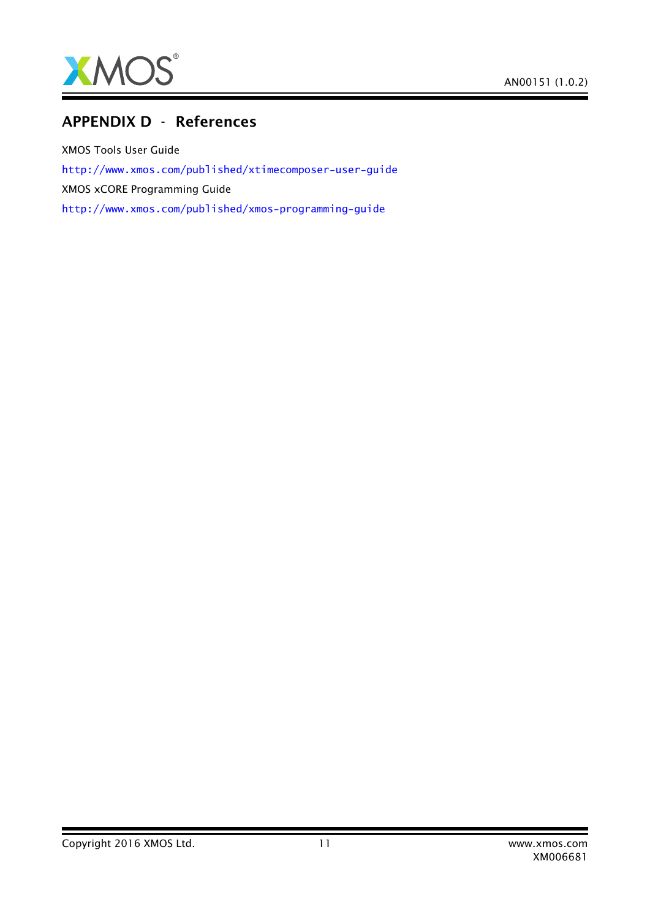

## APPENDIX D - References

XMOS Tools User Guide <http://www.xmos.com/published/xtimecomposer-user-guide> XMOS xCORE Programming Guide <http://www.xmos.com/published/xmos-programming-guide>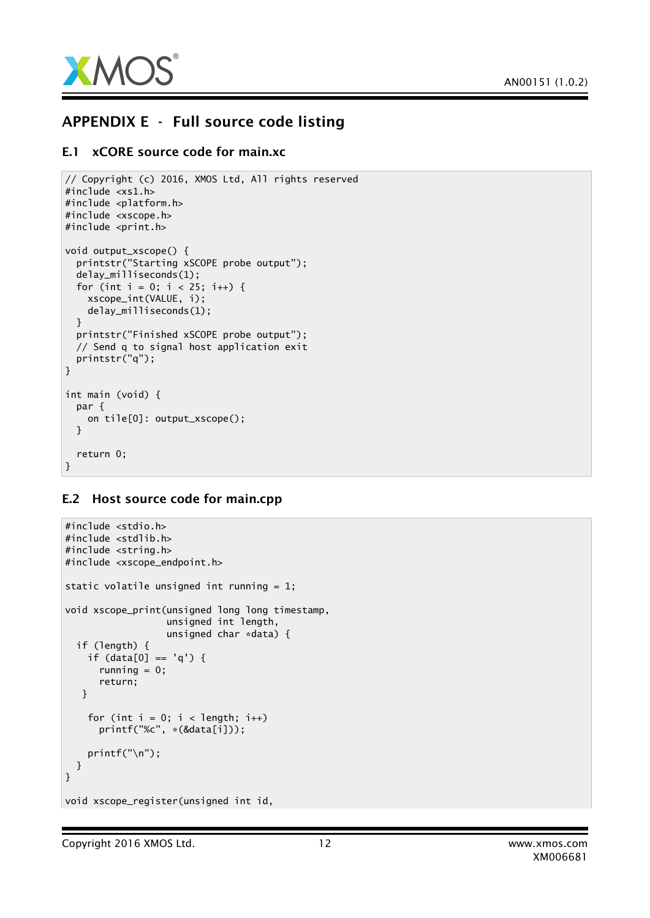

## APPENDIX E - Full source code listing

### E.1 xCORE source code for main.xc

```
// Copyright (c) 2016, XMOS Ltd, All rights reserved
#include <xs1.h>
#include <platform.h>
#include <xscope.h>
#include <print.h>
void output_xscope() {
  printstr("Starting xSCOPE probe output");
  delay_milliseconds(1);
  for (int i = 0; i < 25; i++) {
    xscope_int(VALUE, i);
    delay_milliseconds(1);
  }
  printstr("Finished xSCOPE probe output");
 // Send q to signal host application exit
  printstr("q");
}
int main (void) {
  par {
    on tile[0]: output_xscope();
  }
  return 0;
}
```
## E.2 Host source code for main.cpp

```
#include <stdio.h>
#include <stdlib.h>
#include <string.h>
#include <xscope_endpoint.h>
static volatile unsigned int running = 1;
void xscope_print(unsigned long long timestamp,
                  unsigned int length,
                  unsigned char *data) {
 if (length) {
    if (data[0] == 'q') {
      running = 0;
      return;
  }
    for (int i = 0; i < length; i+1)
     printf("%c", *(&data[i]));
    printf("\n");
 }
}
void xscope_register(unsigned int id,
```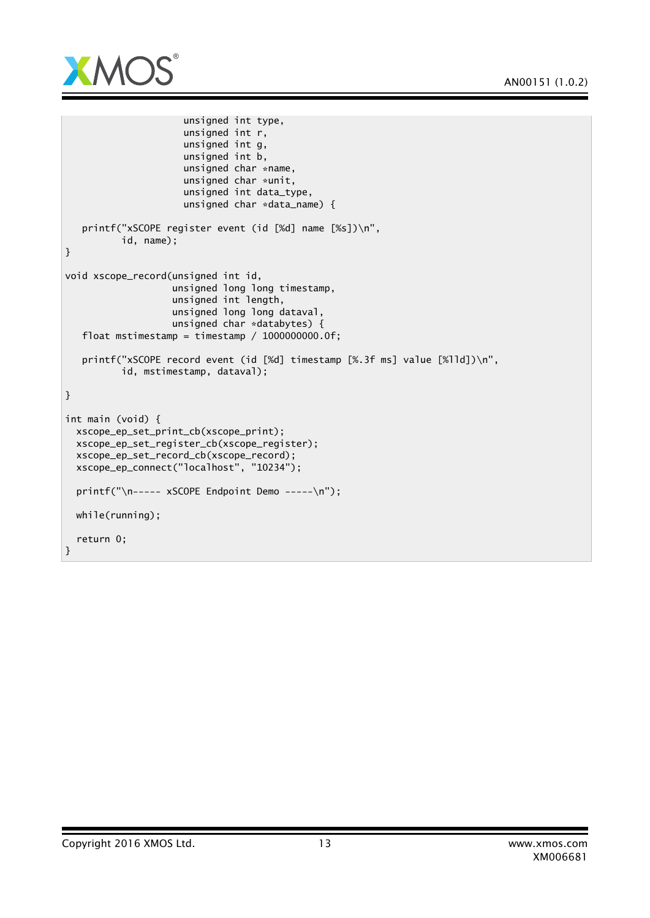

```
unsigned int type,
                     unsigned int r,
                     unsigned int g,
                     unsigned int b,
                     unsigned char *name,
                     unsigned char *unit,
                     unsigned int data_type,
                     unsigned char *data_name) {
  printf("xSCOPE register event (id [%d] name [%s])\n",
          id, name);
}
void xscope_record(unsigned int id,
                   unsigned long long timestamp,
                   unsigned int length,
                   unsigned long long dataval,
                   unsigned char *databytes) {
  float mstimestamp = timestamp / 1000000000.0f;
  printf("xSCOPE record event (id [%d] timestamp [%.3f ms] value [%lld])\n",
          id, mstimestamp, dataval);
}
int main (void) {
 xscope_ep_set_print_cb(xscope_print);
 xscope_ep_set_register_cb(xscope_register);
 xscope_ep_set_record_cb(xscope_record);
 xscope_ep_connect("localhost", "10234");
 printf("\n----- xSCOPE Endpoint Demo -----\n");
 while(running);
 return 0;
}
```